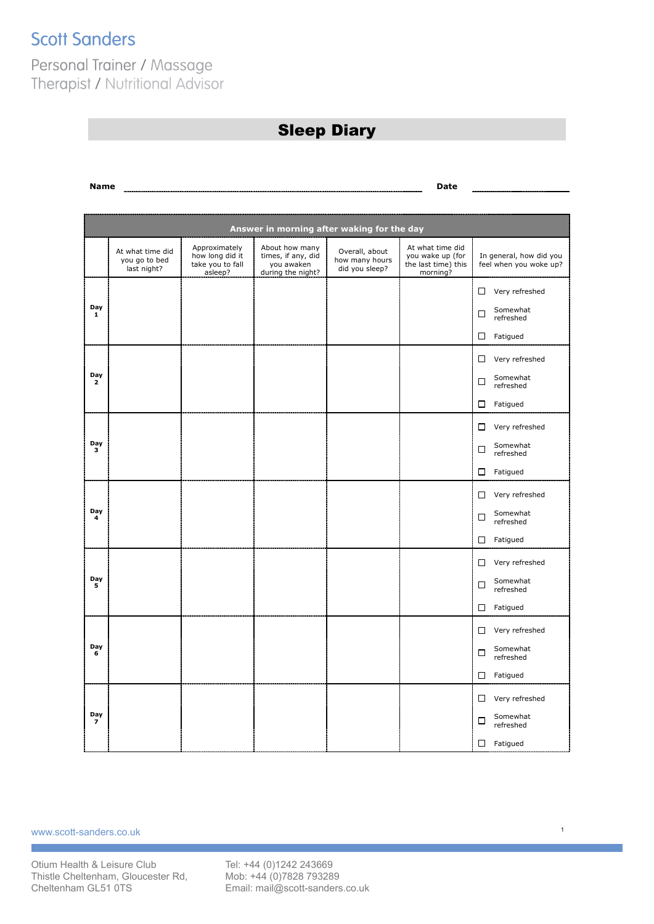## **Scott Sanders**

Personal Trainer / Massage Therapist / Nutritional Advisor

| <b>Name</b>                                |                                                  |                                                                 |                                                                         |                                                    | Date                                                                    |                                                   |  |  |  |  |
|--------------------------------------------|--------------------------------------------------|-----------------------------------------------------------------|-------------------------------------------------------------------------|----------------------------------------------------|-------------------------------------------------------------------------|---------------------------------------------------|--|--|--|--|
| Answer in morning after waking for the day |                                                  |                                                                 |                                                                         |                                                    |                                                                         |                                                   |  |  |  |  |
|                                            | At what time did<br>you go to bed<br>last night? | Approximately<br>how long did it<br>take you to fall<br>asleep? | About how many<br>times, if any, did<br>you awaken<br>during the night? | Overall, about<br>how many hours<br>did you sleep? | At what time did<br>you wake up (for<br>the last time) this<br>morning? | In general, how did you<br>feel when you woke up? |  |  |  |  |
|                                            |                                                  |                                                                 |                                                                         |                                                    |                                                                         | Very refreshed<br>$\Box$                          |  |  |  |  |
| Day<br>1                                   |                                                  |                                                                 |                                                                         |                                                    |                                                                         | Somewhat<br>□<br>refreshed                        |  |  |  |  |
|                                            |                                                  |                                                                 |                                                                         |                                                    |                                                                         | Fatigued<br>□                                     |  |  |  |  |
|                                            |                                                  |                                                                 |                                                                         |                                                    |                                                                         | Very refreshed<br>□                               |  |  |  |  |
| Day<br>2                                   |                                                  |                                                                 |                                                                         |                                                    |                                                                         | Somewhat<br>□<br>refreshed                        |  |  |  |  |
|                                            |                                                  |                                                                 |                                                                         |                                                    |                                                                         | Fatigued<br>□                                     |  |  |  |  |
|                                            |                                                  |                                                                 |                                                                         |                                                    |                                                                         | Very refreshed<br>□                               |  |  |  |  |
| Day<br>з                                   |                                                  |                                                                 |                                                                         |                                                    |                                                                         | Somewhat<br>$\Box$<br>refreshed                   |  |  |  |  |
|                                            |                                                  |                                                                 |                                                                         |                                                    |                                                                         | □<br>Fatigued                                     |  |  |  |  |
|                                            |                                                  |                                                                 |                                                                         |                                                    |                                                                         | $\Box$ Very refreshed                             |  |  |  |  |
| Day<br>4                                   |                                                  |                                                                 |                                                                         |                                                    |                                                                         | Somewhat<br>□<br>refreshed                        |  |  |  |  |
|                                            |                                                  |                                                                 |                                                                         |                                                    |                                                                         | □<br>Fatigued                                     |  |  |  |  |
|                                            |                                                  |                                                                 |                                                                         |                                                    |                                                                         | Very refreshed                                    |  |  |  |  |
| Day<br>5                                   |                                                  |                                                                 |                                                                         |                                                    |                                                                         | Somewhat<br>□<br>refreshed                        |  |  |  |  |
|                                            |                                                  |                                                                 |                                                                         |                                                    |                                                                         | □<br>Fatigued                                     |  |  |  |  |
|                                            |                                                  |                                                                 |                                                                         |                                                    |                                                                         | $\Box$ Very refreshed                             |  |  |  |  |
| Day<br>6                                   |                                                  |                                                                 |                                                                         |                                                    |                                                                         | Somewhat<br>□<br>refreshed                        |  |  |  |  |
|                                            |                                                  |                                                                 |                                                                         |                                                    |                                                                         | $\Box$ Fatigued                                   |  |  |  |  |
|                                            |                                                  |                                                                 |                                                                         |                                                    |                                                                         | $\Box$ Very refreshed                             |  |  |  |  |
| Day<br>$\overline{ }$                      |                                                  |                                                                 |                                                                         |                                                    |                                                                         | Somewhat<br>□<br>refreshed                        |  |  |  |  |
|                                            |                                                  |                                                                 |                                                                         |                                                    |                                                                         | $\Box$ Fatigued                                   |  |  |  |  |

Sleep Diary

www.scott-sanders.co.uk

ľ

Otium Health & Leisure Club Thistle Cheltenham, Gloucester Rd, Cheltenham GL51 0TS

Tel: +44 (0)1242 243669 Mob: +44 (0)7828 793289 Email: mail@scott-sanders.co.uk 1